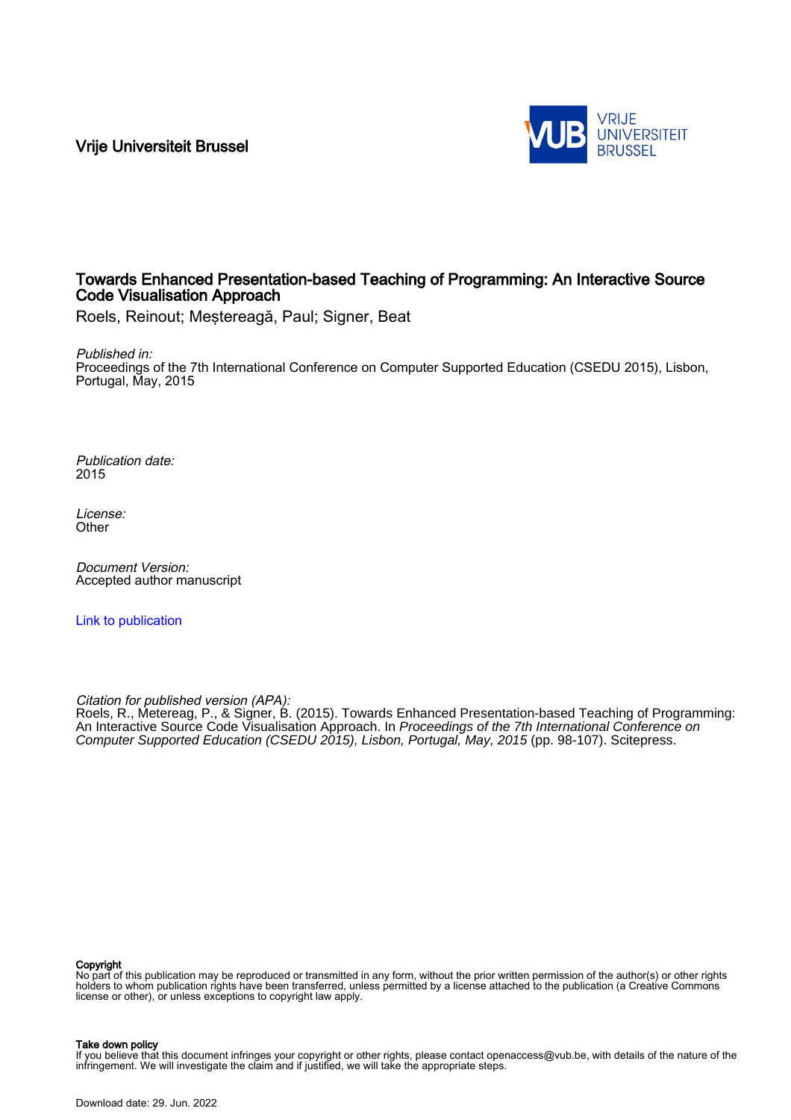Vrije Universiteit Brussel



## Towards Enhanced Presentation-based Teaching of Programming: An Interactive Source Code Visualisation Approach

Roels, Reinout; Meştereagă, Paul; Signer, Beat

Published in: Proceedings of the 7th International Conference on Computer Supported Education (CSEDU 2015), Lisbon, Portugal, May, 2015

Publication date: 2015

License: **Other** 

Document Version: Accepted author manuscript

[Link to publication](https://researchportal.vub.be/en/publications/8850b1e6-2700-49e5-8896-0ab1cc76ff59)

Citation for published version (APA):

Roels, R., Metereag, P., & Signer, B. (2015). Towards Enhanced Presentation-based Teaching of Programming: An Interactive Source Code Visualisation Approach. In Proceedings of the 7th International Conference on Computer Supported Education (CSEDU 2015), Lisbon, Portugal, May, 2015 (pp. 98-107). Scitepress.

#### Copyright

No part of this publication may be reproduced or transmitted in any form, without the prior written permission of the author(s) or other rights holders to whom publication rights have been transferred, unless permitted by a license attached to the publication (a Creative Commons license or other), or unless exceptions to copyright law apply.

#### Take down policy

If you believe that this document infringes your copyright or other rights, please contact openaccess@vub.be, with details of the nature of the infringement. We will investigate the claim and if justified, we will take the appropriate steps.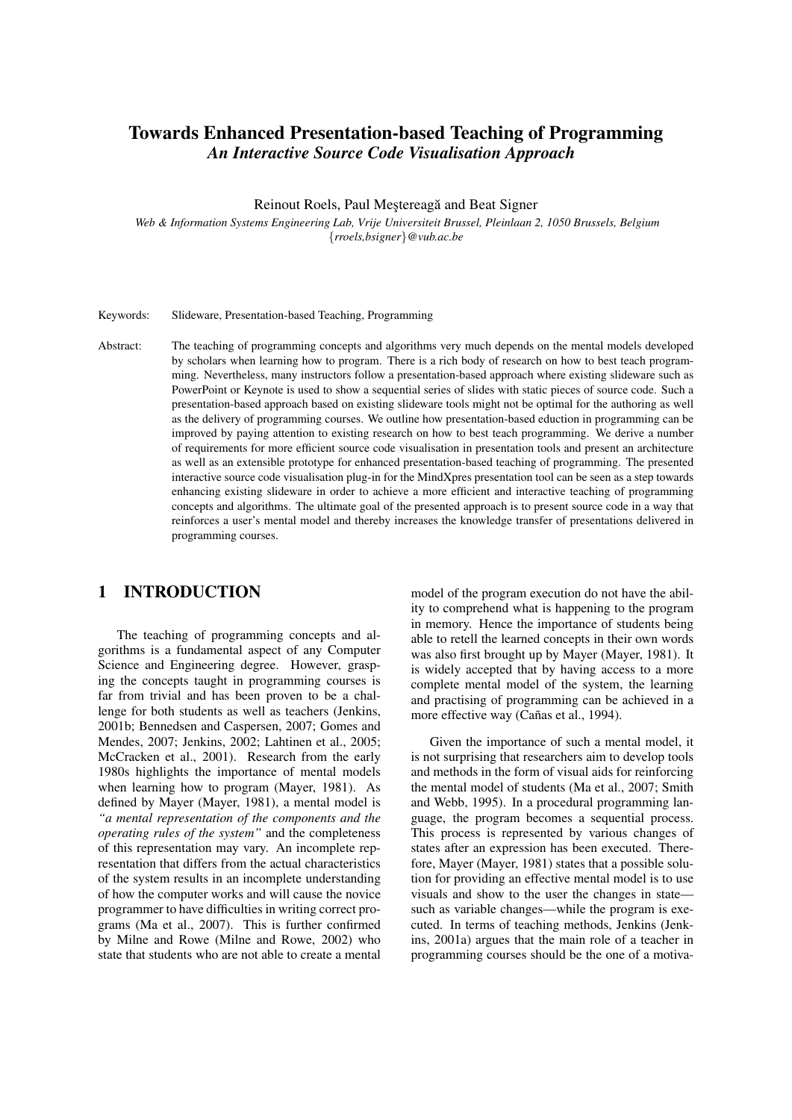# Towards Enhanced Presentation-based Teaching of Programming *An Interactive Source Code Visualisation Approach*

Reinout Roels, Paul Mestereagă and Beat Signer

*Web & Information Systems Engineering Lab, Vrije Universiteit Brussel, Pleinlaan 2, 1050 Brussels, Belgium* {*rroels,bsigner*}*@vub.ac.be*

Keywords: Slideware, Presentation-based Teaching, Programming

Abstract: The teaching of programming concepts and algorithms very much depends on the mental models developed by scholars when learning how to program. There is a rich body of research on how to best teach programming. Nevertheless, many instructors follow a presentation-based approach where existing slideware such as PowerPoint or Keynote is used to show a sequential series of slides with static pieces of source code. Such a presentation-based approach based on existing slideware tools might not be optimal for the authoring as well as the delivery of programming courses. We outline how presentation-based eduction in programming can be improved by paying attention to existing research on how to best teach programming. We derive a number of requirements for more efficient source code visualisation in presentation tools and present an architecture as well as an extensible prototype for enhanced presentation-based teaching of programming. The presented interactive source code visualisation plug-in for the MindXpres presentation tool can be seen as a step towards enhancing existing slideware in order to achieve a more efficient and interactive teaching of programming concepts and algorithms. The ultimate goal of the presented approach is to present source code in a way that reinforces a user's mental model and thereby increases the knowledge transfer of presentations delivered in programming courses.

# 1 INTRODUCTION

The teaching of programming concepts and algorithms is a fundamental aspect of any Computer Science and Engineering degree. However, grasping the concepts taught in programming courses is far from trivial and has been proven to be a challenge for both students as well as teachers [\(Jenkins,](#page-10-0) [2001b;](#page-10-0) [Bennedsen and Caspersen, 2007;](#page-10-1) [Gomes and](#page-10-2) [Mendes, 2007;](#page-10-2) [Jenkins, 2002;](#page-10-3) [Lahtinen et al., 2005;](#page-10-4) [McCracken et al., 2001\)](#page-10-5). Research from the early 1980s highlights the importance of mental models when learning how to program [\(Mayer, 1981\)](#page-10-6). As defined by Mayer [\(Mayer, 1981\)](#page-10-6), a mental model is *"a mental representation of the components and the operating rules of the system"* and the completeness of this representation may vary. An incomplete representation that differs from the actual characteristics of the system results in an incomplete understanding of how the computer works and will cause the novice programmer to have difficulties in writing correct programs [\(Ma et al., 2007\)](#page-10-7). This is further confirmed by Milne and Rowe [\(Milne and Rowe, 2002\)](#page-10-8) who state that students who are not able to create a mental

model of the program execution do not have the ability to comprehend what is happening to the program in memory. Hence the importance of students being able to retell the learned concepts in their own words was also first brought up by Mayer [\(Mayer, 1981\)](#page-10-6). It is widely accepted that by having access to a more complete mental model of the system, the learning and practising of programming can be achieved in a more effective way (Cañas et al., 1994).

Given the importance of such a mental model, it is not surprising that researchers aim to develop tools and methods in the form of visual aids for reinforcing the mental model of students [\(Ma et al., 2007;](#page-10-7) [Smith](#page-10-10) [and Webb, 1995\)](#page-10-10). In a procedural programming language, the program becomes a sequential process. This process is represented by various changes of states after an expression has been executed. Therefore, Mayer [\(Mayer, 1981\)](#page-10-6) states that a possible solution for providing an effective mental model is to use visuals and show to the user the changes in state such as variable changes—while the program is executed. In terms of teaching methods, Jenkins [\(Jenk](#page-10-11)[ins, 2001a\)](#page-10-11) argues that the main role of a teacher in programming courses should be the one of a motiva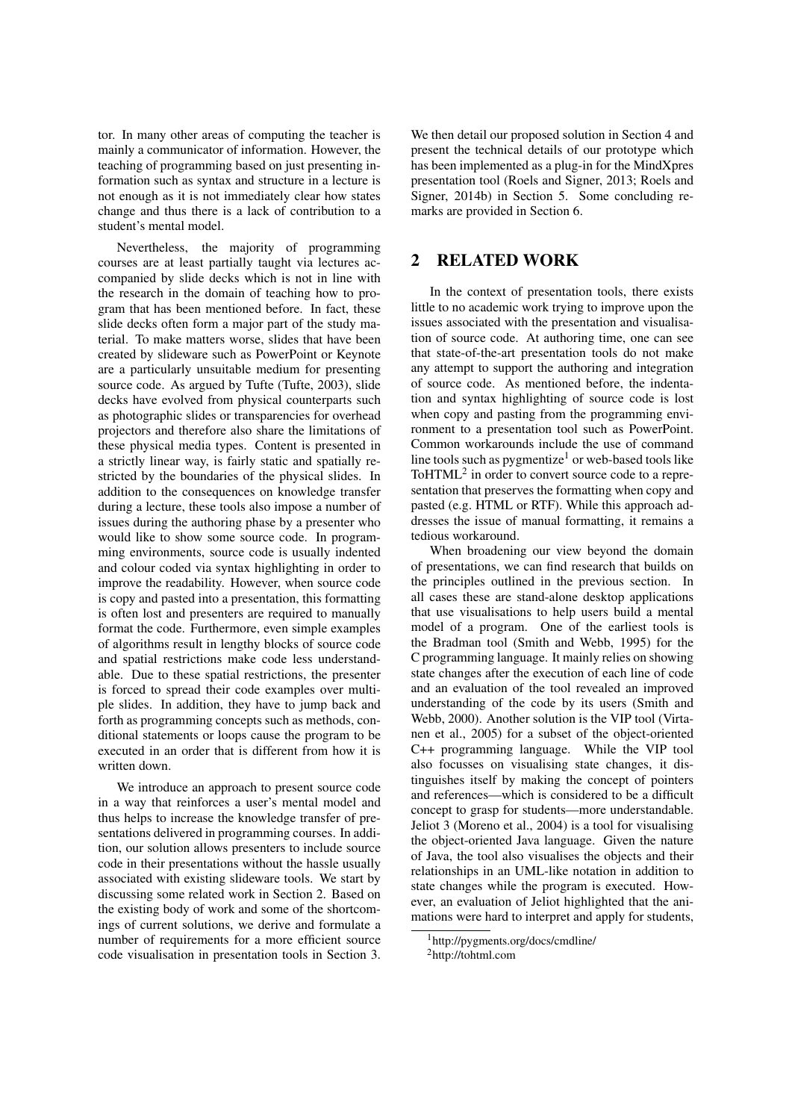tor. In many other areas of computing the teacher is mainly a communicator of information. However, the teaching of programming based on just presenting information such as syntax and structure in a lecture is not enough as it is not immediately clear how states change and thus there is a lack of contribution to a student's mental model.

Nevertheless, the majority of programming courses are at least partially taught via lectures accompanied by slide decks which is not in line with the research in the domain of teaching how to program that has been mentioned before. In fact, these slide decks often form a major part of the study material. To make matters worse, slides that have been created by slideware such as PowerPoint or Keynote are a particularly unsuitable medium for presenting source code. As argued by Tufte [\(Tufte, 2003\)](#page-10-12), slide decks have evolved from physical counterparts such as photographic slides or transparencies for overhead projectors and therefore also share the limitations of these physical media types. Content is presented in a strictly linear way, is fairly static and spatially restricted by the boundaries of the physical slides. In addition to the consequences on knowledge transfer during a lecture, these tools also impose a number of issues during the authoring phase by a presenter who would like to show some source code. In programming environments, source code is usually indented and colour coded via syntax highlighting in order to improve the readability. However, when source code is copy and pasted into a presentation, this formatting is often lost and presenters are required to manually format the code. Furthermore, even simple examples of algorithms result in lengthy blocks of source code and spatial restrictions make code less understandable. Due to these spatial restrictions, the presenter is forced to spread their code examples over multiple slides. In addition, they have to jump back and forth as programming concepts such as methods, conditional statements or loops cause the program to be executed in an order that is different from how it is written down.

We introduce an approach to present source code in a way that reinforces a user's mental model and thus helps to increase the knowledge transfer of presentations delivered in programming courses. In addition, our solution allows presenters to include source code in their presentations without the hassle usually associated with existing slideware tools. We start by discussing some related work in Section [2.](#page-2-0) Based on the existing body of work and some of the shortcomings of current solutions, we derive and formulate a number of requirements for a more efficient source code visualisation in presentation tools in Section [3.](#page-3-0)

We then detail our proposed solution in Section [4](#page-4-0) and present the technical details of our prototype which has been implemented as a plug-in for the MindXpres presentation tool [\(Roels and Signer, 2013;](#page-10-13) [Roels and](#page-10-14) [Signer, 2014b\)](#page-10-14) in Section [5.](#page-5-0) Some concluding remarks are provided in Section [6.](#page-9-0)

### <span id="page-2-0"></span>2 RELATED WORK

In the context of presentation tools, there exists little to no academic work trying to improve upon the issues associated with the presentation and visualisation of source code. At authoring time, one can see that state-of-the-art presentation tools do not make any attempt to support the authoring and integration of source code. As mentioned before, the indentation and syntax highlighting of source code is lost when copy and pasting from the programming environment to a presentation tool such as PowerPoint. Common workarounds include the use of command line tools such as pygmentize<sup>[1](#page-2-1)</sup> or web-based tools like  $ToHTML<sup>2</sup>$  $ToHTML<sup>2</sup>$  $ToHTML<sup>2</sup>$  in order to convert source code to a representation that preserves the formatting when copy and pasted (e.g. HTML or RTF). While this approach addresses the issue of manual formatting, it remains a tedious workaround.

When broadening our view beyond the domain of presentations, we can find research that builds on the principles outlined in the previous section. In all cases these are stand-alone desktop applications that use visualisations to help users build a mental model of a program. One of the earliest tools is the Bradman tool [\(Smith and Webb, 1995\)](#page-10-10) for the C programming language. It mainly relies on showing state changes after the execution of each line of code and an evaluation of the tool revealed an improved understanding of the code by its users [\(Smith and](#page-10-15) [Webb, 2000\)](#page-10-15). Another solution is the VIP tool [\(Virta](#page-10-16)[nen et al., 2005\)](#page-10-16) for a subset of the object-oriented C++ programming language. While the VIP tool also focusses on visualising state changes, it distinguishes itself by making the concept of pointers and references—which is considered to be a difficult concept to grasp for students—more understandable. Jeliot 3 [\(Moreno et al., 2004\)](#page-10-17) is a tool for visualising the object-oriented Java language. Given the nature of Java, the tool also visualises the objects and their relationships in an UML-like notation in addition to state changes while the program is executed. However, an evaluation of Jeliot highlighted that the animations were hard to interpret and apply for students,

<span id="page-2-1"></span><sup>1</sup>http://pygments.org/docs/cmdline/

<span id="page-2-2"></span> ${}^{2}$ http://tohtml.com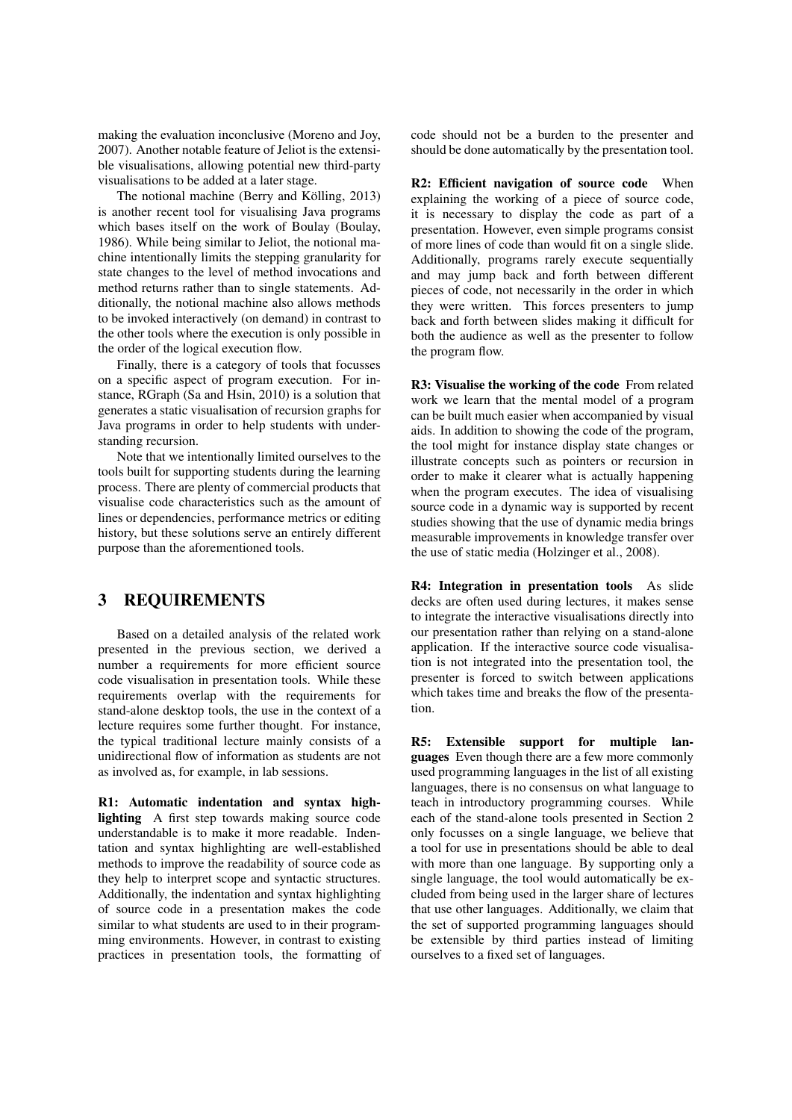making the evaluation inconclusive [\(Moreno and Joy,](#page-10-18) [2007\)](#page-10-18). Another notable feature of Jeliot is the extensible visualisations, allowing potential new third-party visualisations to be added at a later stage.

The notional machine (Berry and Kölling, 2013) is another recent tool for visualising Java programs which bases itself on the work of Boulay [\(Boulay,](#page-10-20) [1986\)](#page-10-20). While being similar to Jeliot, the notional machine intentionally limits the stepping granularity for state changes to the level of method invocations and method returns rather than to single statements. Additionally, the notional machine also allows methods to be invoked interactively (on demand) in contrast to the other tools where the execution is only possible in the order of the logical execution flow.

Finally, there is a category of tools that focusses on a specific aspect of program execution. For instance, RGraph [\(Sa and Hsin, 2010\)](#page-10-21) is a solution that generates a static visualisation of recursion graphs for Java programs in order to help students with understanding recursion.

Note that we intentionally limited ourselves to the tools built for supporting students during the learning process. There are plenty of commercial products that visualise code characteristics such as the amount of lines or dependencies, performance metrics or editing history, but these solutions serve an entirely different purpose than the aforementioned tools.

### <span id="page-3-0"></span>3 REQUIREMENTS

Based on a detailed analysis of the related work presented in the previous section, we derived a number a requirements for more efficient source code visualisation in presentation tools. While these requirements overlap with the requirements for stand-alone desktop tools, the use in the context of a lecture requires some further thought. For instance, the typical traditional lecture mainly consists of a unidirectional flow of information as students are not as involved as, for example, in lab sessions.

R1: Automatic indentation and syntax highlighting A first step towards making source code understandable is to make it more readable. Indentation and syntax highlighting are well-established methods to improve the readability of source code as they help to interpret scope and syntactic structures. Additionally, the indentation and syntax highlighting of source code in a presentation makes the code similar to what students are used to in their programming environments. However, in contrast to existing practices in presentation tools, the formatting of code should not be a burden to the presenter and should be done automatically by the presentation tool.

R2: Efficient navigation of source code When explaining the working of a piece of source code, it is necessary to display the code as part of a presentation. However, even simple programs consist of more lines of code than would fit on a single slide. Additionally, programs rarely execute sequentially and may jump back and forth between different pieces of code, not necessarily in the order in which they were written. This forces presenters to jump back and forth between slides making it difficult for both the audience as well as the presenter to follow the program flow.

R3: Visualise the working of the code From related work we learn that the mental model of a program can be built much easier when accompanied by visual aids. In addition to showing the code of the program, the tool might for instance display state changes or illustrate concepts such as pointers or recursion in order to make it clearer what is actually happening when the program executes. The idea of visualising source code in a dynamic way is supported by recent studies showing that the use of dynamic media brings measurable improvements in knowledge transfer over the use of static media [\(Holzinger et al., 2008\)](#page-10-22).

R4: Integration in presentation tools As slide decks are often used during lectures, it makes sense to integrate the interactive visualisations directly into our presentation rather than relying on a stand-alone application. If the interactive source code visualisation is not integrated into the presentation tool, the presenter is forced to switch between applications which takes time and breaks the flow of the presentation.

R5: Extensible support for multiple languages Even though there are a few more commonly used programming languages in the list of all existing languages, there is no consensus on what language to teach in introductory programming courses. While each of the stand-alone tools presented in Section [2](#page-2-0) only focusses on a single language, we believe that a tool for use in presentations should be able to deal with more than one language. By supporting only a single language, the tool would automatically be excluded from being used in the larger share of lectures that use other languages. Additionally, we claim that the set of supported programming languages should be extensible by third parties instead of limiting ourselves to a fixed set of languages.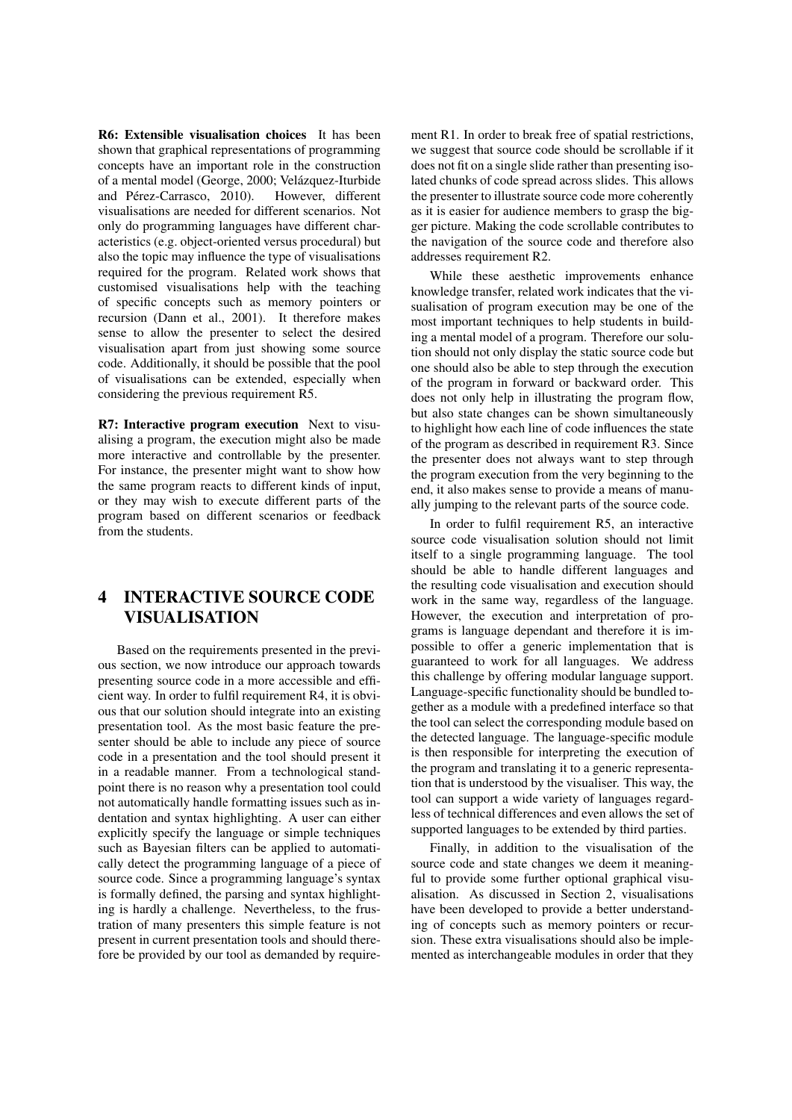R6: Extensible visualisation choices It has been shown that graphical representations of programming concepts have an important role in the construction of a mental model [\(George, 2000;](#page-10-23) Velázquez-Iturbide and Pérez-Carrasco, 2010). However, different and Pérez-Carrasco, 2010). visualisations are needed for different scenarios. Not only do programming languages have different characteristics (e.g. object-oriented versus procedural) but also the topic may influence the type of visualisations required for the program. Related work shows that customised visualisations help with the teaching of specific concepts such as memory pointers or recursion [\(Dann et al., 2001\)](#page-10-25). It therefore makes sense to allow the presenter to select the desired visualisation apart from just showing some source code. Additionally, it should be possible that the pool of visualisations can be extended, especially when considering the previous requirement R5.

R7: Interactive program execution Next to visualising a program, the execution might also be made more interactive and controllable by the presenter. For instance, the presenter might want to show how the same program reacts to different kinds of input, or they may wish to execute different parts of the program based on different scenarios or feedback from the students.

# <span id="page-4-0"></span>4 INTERACTIVE SOURCE CODE VISUALISATION

Based on the requirements presented in the previous section, we now introduce our approach towards presenting source code in a more accessible and efficient way. In order to fulfil requirement R4, it is obvious that our solution should integrate into an existing presentation tool. As the most basic feature the presenter should be able to include any piece of source code in a presentation and the tool should present it in a readable manner. From a technological standpoint there is no reason why a presentation tool could not automatically handle formatting issues such as indentation and syntax highlighting. A user can either explicitly specify the language or simple techniques such as Bayesian filters can be applied to automatically detect the programming language of a piece of source code. Since a programming language's syntax is formally defined, the parsing and syntax highlighting is hardly a challenge. Nevertheless, to the frustration of many presenters this simple feature is not present in current presentation tools and should therefore be provided by our tool as demanded by requirement R1. In order to break free of spatial restrictions, we suggest that source code should be scrollable if it does not fit on a single slide rather than presenting isolated chunks of code spread across slides. This allows the presenter to illustrate source code more coherently as it is easier for audience members to grasp the bigger picture. Making the code scrollable contributes to the navigation of the source code and therefore also addresses requirement R2.

While these aesthetic improvements enhance knowledge transfer, related work indicates that the visualisation of program execution may be one of the most important techniques to help students in building a mental model of a program. Therefore our solution should not only display the static source code but one should also be able to step through the execution of the program in forward or backward order. This does not only help in illustrating the program flow, but also state changes can be shown simultaneously to highlight how each line of code influences the state of the program as described in requirement R3. Since the presenter does not always want to step through the program execution from the very beginning to the end, it also makes sense to provide a means of manually jumping to the relevant parts of the source code.

In order to fulfil requirement R5, an interactive source code visualisation solution should not limit itself to a single programming language. The tool should be able to handle different languages and the resulting code visualisation and execution should work in the same way, regardless of the language. However, the execution and interpretation of programs is language dependant and therefore it is impossible to offer a generic implementation that is guaranteed to work for all languages. We address this challenge by offering modular language support. Language-specific functionality should be bundled together as a module with a predefined interface so that the tool can select the corresponding module based on the detected language. The language-specific module is then responsible for interpreting the execution of the program and translating it to a generic representation that is understood by the visualiser. This way, the tool can support a wide variety of languages regardless of technical differences and even allows the set of supported languages to be extended by third parties.

Finally, in addition to the visualisation of the source code and state changes we deem it meaningful to provide some further optional graphical visualisation. As discussed in Section [2,](#page-2-0) visualisations have been developed to provide a better understanding of concepts such as memory pointers or recursion. These extra visualisations should also be implemented as interchangeable modules in order that they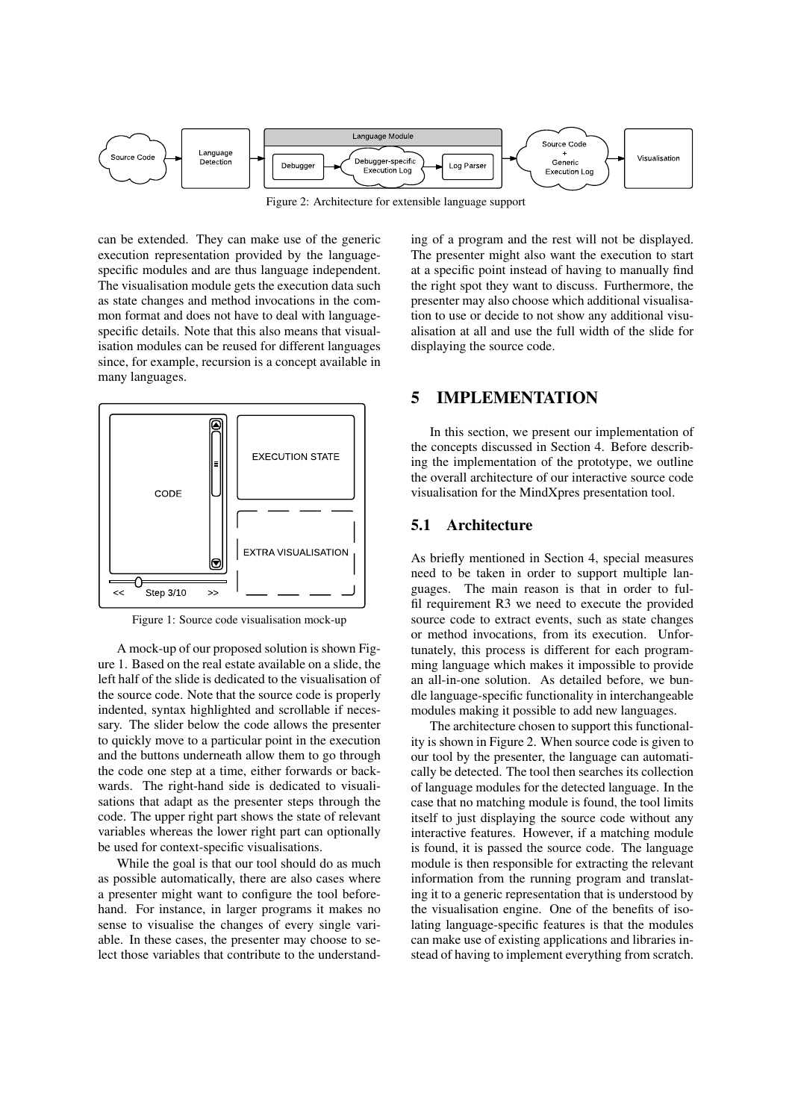

Figure 2: Architecture for extensible language support

isation modules can be reused for different languages mon format and does not have to deal with languagecan be extended. They can make use of the generic execution representation provided by the languagespecific modules and are thus language independent. The visualisation module gets the execution data such as state changes and method invocations in the comspecific details. Note that this also means that visualsince, for example, recursion is a concept available in many languages.



Figure 1: Source code visualisation mock-up

A mock-up of our proposed solution is shown Figure 1. Based on the real estate available on a slide, the left half of the slide is dedicated to the visualisation of the source code. Note that the source code is properly indented, syntax highlighted and scrollable if necessary. The slider below the code allows the presenter to quickly move to a particular point in the execution and the buttons underneath allow them to go through the code one step at a time, either forwards or backwards. The right-hand side is dedicated to visualisations that adapt as the presenter steps through the code. The upper right part shows the state of relevant variables whereas the lower right part can optionally be used for context-specific visualisations.

While the goal is that our tool should do as much as possible automatically, there are also cases where a presenter might want to configure the tool beforehand. For instance, in larger programs it makes no sense to visualise the changes of every single variable. In these cases, the presenter may choose to select those variables that contribute to the understanding of a program and the rest will not be displayed. The presenter might also want the execution to start at a specific point instead of having to manually find the right spot they want to discuss. Furthermore, the presenter may also choose which additional visualisation to use or decide to not show any additional visualisation at all and use the full width of the slide for displaying the source code.

### <span id="page-5-0"></span>5 IMPLEMENTATION

In this section, we present our implementation of the concepts discussed in Section [4.](#page-4-0) Before describing the implementation of the prototype, we outline the overall architecture of our interactive source code visualisation for the MindXpres presentation tool.

#### 5.1 Architecture

As briefly mentioned in Section [4,](#page-4-0) special measures need to be taken in order to support multiple languages. The main reason is that in order to fulfil requirement R3 we need to execute the provided source code to extract events, such as state changes or method invocations, from its execution. Unfortunately, this process is different for each programming language which makes it impossible to provide an all-in-one solution. As detailed before, we bundle language-specific functionality in interchangeable modules making it possible to add new languages.

The architecture chosen to support this functionality is shown in Figure 2. When source code is given to our tool by the presenter, the language can automatically be detected. The tool then searches its collection of language modules for the detected language. In the case that no matching module is found, the tool limits itself to just displaying the source code without any interactive features. However, if a matching module is found, it is passed the source code. The language module is then responsible for extracting the relevant information from the running program and translating it to a generic representation that is understood by the visualisation engine. One of the benefits of isolating language-specific features is that the modules can make use of existing applications and libraries instead of having to implement everything from scratch.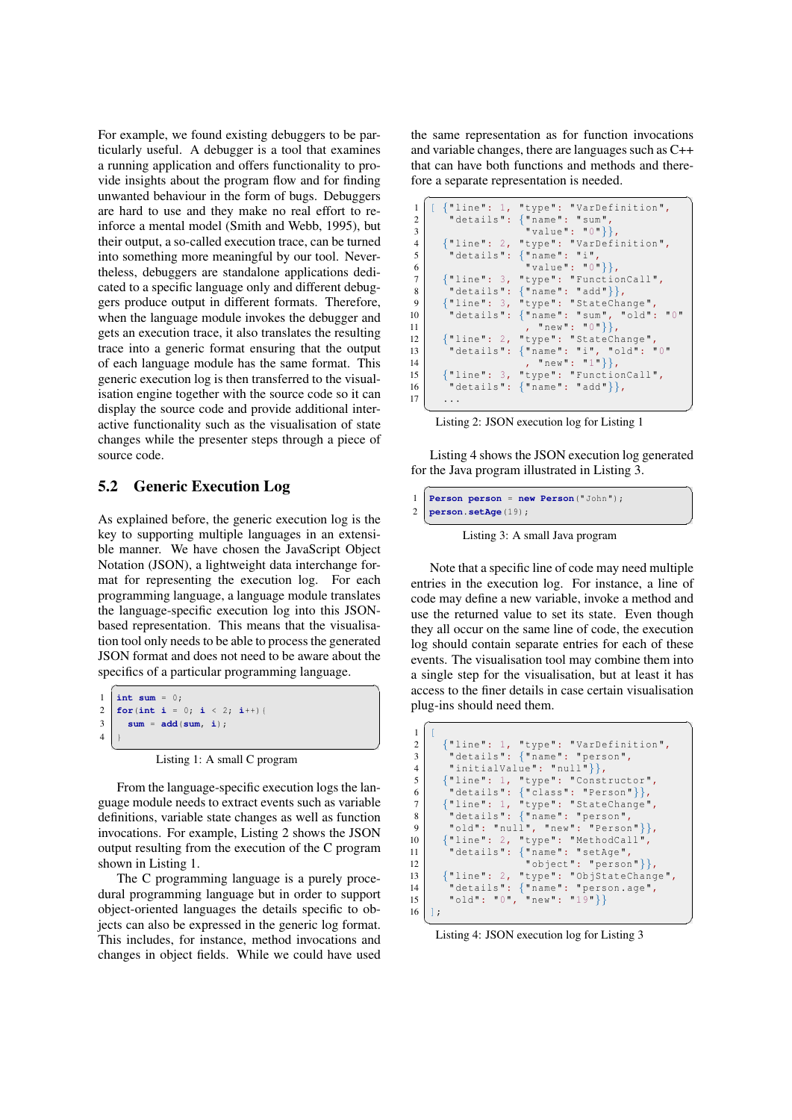For example, we found existing debuggers to be particularly useful. A debugger is a tool that examines a running application and offers functionality to provide insights about the program flow and for finding unwanted behaviour in the form of bugs. Debuggers are hard to use and they make no real effort to reinforce a mental model [\(Smith and Webb, 1995\)](#page-10-10), but their output, a so-called execution trace, can be turned into something more meaningful by our tool. Nevertheless, debuggers are standalone applications dedicated to a specific language only and different debuggers produce output in different formats. Therefore, when the language module invokes the debugger and gets an execution trace, it also translates the resulting trace into a generic format ensuring that the output of each language module has the same format. This generic execution log is then transferred to the visualisation engine together with the source code so it can display the source code and provide additional interactive functionality such as the visualisation of state changes while the presenter steps through a piece of source code.

### 5.2 Generic Execution Log

As explained before, the generic execution log is the key to supporting multiple languages in an extensible manner. We have chosen the JavaScript Object Notation (JSON), a lightweight data interchange format for representing the execution log. For each programming language, a language module translates the language-specific execution log into this JSONbased representation. This means that the visualisation tool only needs to be able to process the generated JSON format and does not need to be aware about the specifics of a particular programming language.

```
\sqrt{2}1 int sum = 0;
2 for(\text{int} i = 0; i < 2; i++) {
3 \mid \text{sum} = \text{add}(\text{sum}, \text{i});
\overline{4}✝ ✆
```
Listing 1: A small C program

From the language-specific execution logs the language module needs to extract events such as variable definitions, variable state changes as well as function invocations. For example, Listing [2](#page-6-0) shows the JSON output resulting from the execution of the C program shown in Listing [1.](#page-6-1)

The C programming language is a purely procedural programming language but in order to support object-oriented languages the details specific to objects can also be expressed in the generic log format. This includes, for instance, method invocations and changes in object fields. While we could have used the same representation as for function invocations and variable changes, there are languages such as C++ that can have both functions and methods and therefore a separate representation is needed.

<span id="page-6-0"></span>

Listing 2: JSON execution log for Listing [1](#page-6-1)

Listing [4](#page-6-2) shows the JSON execution log generated for the Java program illustrated in Listing [3.](#page-6-3)

<span id="page-6-3"></span>

| 1 Person person = new Person ("John"); |
|----------------------------------------|
| 2   $person.setAge(19)$ ;              |
|                                        |

Listing 3: A small Java program

Note that a specific line of code may need multiple entries in the execution log. For instance, a line of code may define a new variable, invoke a method and use the returned value to set its state. Even though they all occur on the same line of code, the execution log should contain separate entries for each of these events. The visualisation tool may combine them into a single step for the visualisation, but at least it has access to the finer details in case certain visualisation plug-ins should need them.

<span id="page-6-2"></span>

Listing 4: JSON execution log for Listing [3](#page-6-3)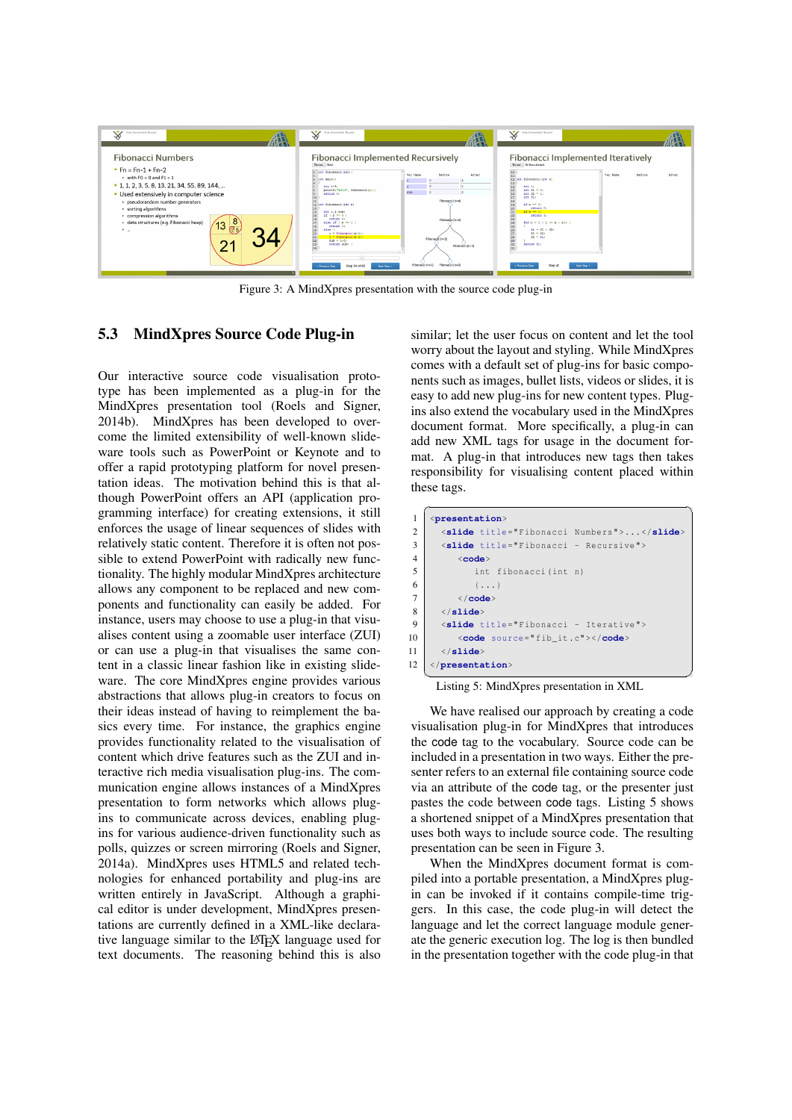<span id="page-7-1"></span>

Figure 3: A MindXpres presentation with the source code plug-in

### 5.3 MindXpres Source Code Plug-in

Our interactive source code visualisation prototype has been implemented as a plug-in for the MindXpres presentation tool [\(Roels and Signer,](#page-10-14) [2014b\)](#page-10-14). MindXpres has been developed to overcome the limited extensibility of well-known slideware tools such as PowerPoint or Keynote and to offer a rapid prototyping platform for novel presentation ideas. The motivation behind this is that although PowerPoint offers an API (application programming interface) for creating extensions, it still enforces the usage of linear sequences of slides with relatively static content. Therefore it is often not possible to extend PowerPoint with radically new functionality. The highly modular MindXpres architecture allows any component to be replaced and new components and functionality can easily be added. For instance, users may choose to use a plug-in that visualises content using a zoomable user interface (ZUI) or can use a plug-in that visualises the same content in a classic linear fashion like in existing slideware. The core MindXpres engine provides various abstractions that allows plug-in creators to focus on their ideas instead of having to reimplement the basics every time. For instance, the graphics engine provides functionality related to the visualisation of content which drive features such as the ZUI and interactive rich media visualisation plug-ins. The communication engine allows instances of a MindXpres presentation to form networks which allows plugins to communicate across devices, enabling plugins for various audience-driven functionality such as polls, quizzes or screen mirroring [\(Roels and Signer,](#page-10-26) [2014a\)](#page-10-26). MindXpres uses HTML5 and related technologies for enhanced portability and plug-ins are written entirely in JavaScript. Although a graphical editor is under development, MindXpres presentations are currently defined in a XML-like declarative language similar to the LATEX language used for text documents. The reasoning behind this is also

similar; let the user focus on content and let the tool worry about the layout and styling. While MindXpres comes with a default set of plug-ins for basic components such as images, bullet lists, videos or slides, it is easy to add new plug-ins for new content types. Plugins also extend the vocabulary used in the MindXpres document format. More specifically, a plug-in can add new XML tags for usage in the document format. A plug-in that introduces new tags then takes responsibility for visualising content placed within these tags.

```
\sqrt{2\pi}1 <presentation>
2 <slide title="Fibonacci Numbers">...</slide>
3 <slide title="Fibonacci - Recursive">
4 \langle \text{code} \rangle5 int fibonacci (int n)
6 \{ \ldots \}7 </code>
8 </slide>
9 <slide title="Fibonacci - Iterative">
10 <code source="fib_it.c"></code>
11 </slide>
12 </presentation>
```
Listing 5: MindXpres presentation in XML

We have realised our approach by creating a code visualisation plug-in for MindXpres that introduces the code tag to the vocabulary. Source code can be included in a presentation in two ways. Either the presenter refers to an external file containing source code via an attribute of the code tag, or the presenter just pastes the code between code tags. Listing [5](#page-7-0) shows a shortened snippet of a MindXpres presentation that uses both ways to include source code. The resulting presentation can be seen in Figure [3.](#page-7-1)

When the MindXpres document format is compiled into a portable presentation, a MindXpres plugin can be invoked if it contains compile-time triggers. In this case, the code plug-in will detect the language and let the correct language module generate the generic execution log. The log is then bundled in the presentation together with the code plug-in that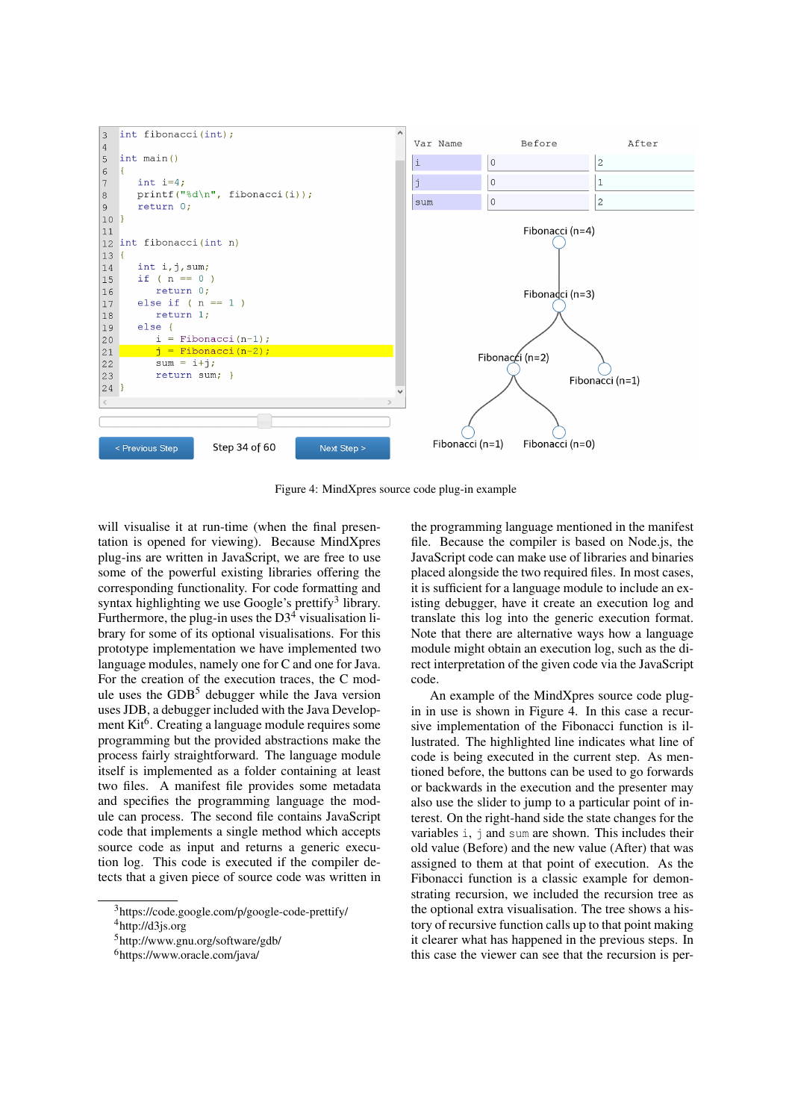<span id="page-8-4"></span>

Figure 4: MindXpres source code plug-in example

will visualise it at run-time (when the final presentation is opened for viewing). Because MindXpres plug-ins are written in JavaScript, we are free to use some of the powerful existing libraries offering the corresponding functionality. For code formatting and syntax highlighting we use Google's prettify<sup>[3](#page-8-0)</sup> library. Furthermore, the plug-in uses the  $D3<sup>4</sup>$  $D3<sup>4</sup>$  $D3<sup>4</sup>$  visualisation library for some of its optional visualisations. For this prototype implementation we have implemented two language modules, namely one for C and one for Java. For the creation of the execution traces, the C module uses the  $GDB<sup>5</sup>$  $GDB<sup>5</sup>$  $GDB<sup>5</sup>$  debugger while the Java version uses JDB, a debugger included with the Java Develop-ment Kit<sup>[6](#page-8-3)</sup>. Creating a language module requires some programming but the provided abstractions make the process fairly straightforward. The language module itself is implemented as a folder containing at least two files. A manifest file provides some metadata and specifies the programming language the module can process. The second file contains JavaScript code that implements a single method which accepts source code as input and returns a generic execution log. This code is executed if the compiler detects that a given piece of source code was written in

<span id="page-8-0"></span><sup>3</sup>https://code.google.com/p/google-code-prettify/

the programming language mentioned in the manifest file. Because the compiler is based on Node.js, the JavaScript code can make use of libraries and binaries placed alongside the two required files. In most cases, it is sufficient for a language module to include an existing debugger, have it create an execution log and translate this log into the generic execution format. Note that there are alternative ways how a language module might obtain an execution log, such as the direct interpretation of the given code via the JavaScript code.

An example of the MindXpres source code plugin in use is shown in Figure [4.](#page-8-4) In this case a recursive implementation of the Fibonacci function is illustrated. The highlighted line indicates what line of code is being executed in the current step. As mentioned before, the buttons can be used to go forwards or backwards in the execution and the presenter may also use the slider to jump to a particular point of interest. On the right-hand side the state changes for the variables i, j and sum are shown. This includes their old value (Before) and the new value (After) that was assigned to them at that point of execution. As the Fibonacci function is a classic example for demonstrating recursion, we included the recursion tree as the optional extra visualisation. The tree shows a history of recursive function calls up to that point making it clearer what has happened in the previous steps. In this case the viewer can see that the recursion is per-

<span id="page-8-1"></span><sup>4</sup>http://d3js.org

<span id="page-8-2"></span><sup>5</sup>http://www.gnu.org/software/gdb/

<span id="page-8-3"></span><sup>6</sup>https://www.oracle.com/java/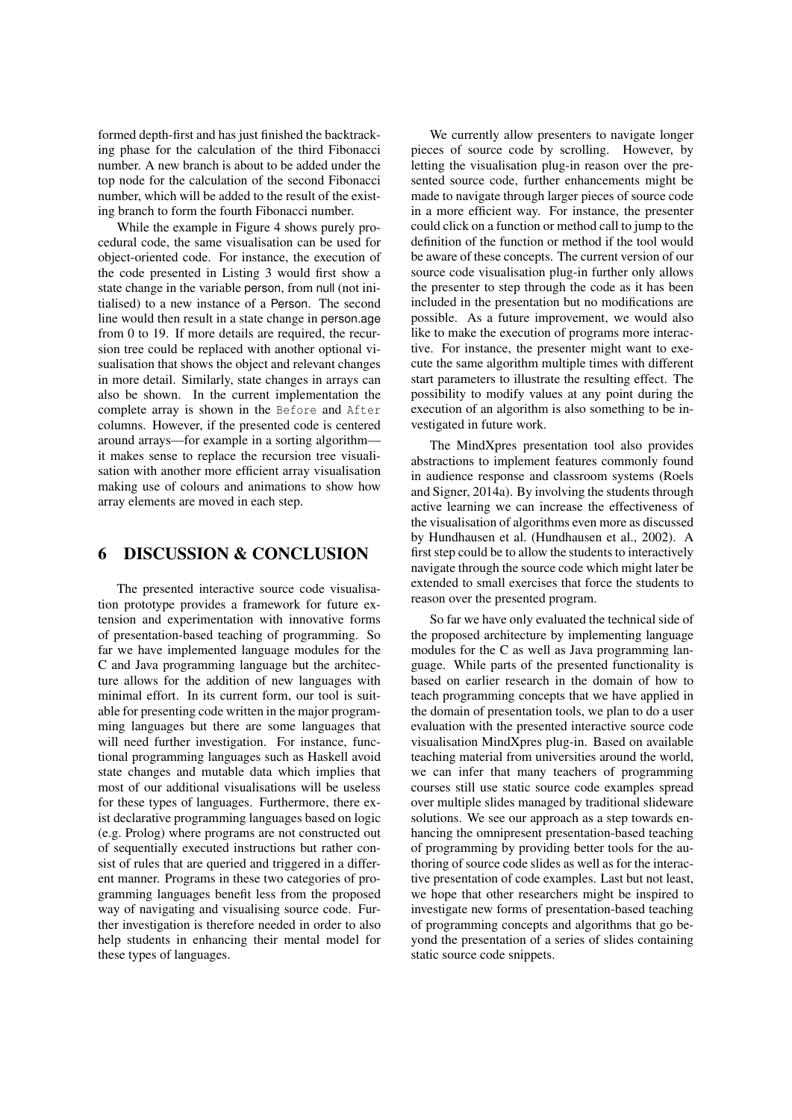formed depth-first and has just finished the backtracking phase for the calculation of the third Fibonacci number. A new branch is about to be added under the top node for the calculation of the second Fibonacci number, which will be added to the result of the existing branch to form the fourth Fibonacci number.

While the example in Figure [4](#page-8-4) shows purely procedural code, the same visualisation can be used for object-oriented code. For instance, the execution of the code presented in Listing [3](#page-6-3) would first show a state change in the variable person, from null (not initialised) to a new instance of a Person. The second line would then result in a state change in person.age from 0 to 19. If more details are required, the recursion tree could be replaced with another optional visualisation that shows the object and relevant changes in more detail. Similarly, state changes in arrays can also be shown. In the current implementation the complete array is shown in the Before and After columns. However, if the presented code is centered around arrays—for example in a sorting algorithm it makes sense to replace the recursion tree visualisation with another more efficient array visualisation making use of colours and animations to show how array elements are moved in each step.

## <span id="page-9-0"></span>6 DISCUSSION & CONCLUSION

The presented interactive source code visualisation prototype provides a framework for future extension and experimentation with innovative forms of presentation-based teaching of programming. So far we have implemented language modules for the C and Java programming language but the architecture allows for the addition of new languages with minimal effort. In its current form, our tool is suitable for presenting code written in the major programming languages but there are some languages that will need further investigation. For instance, functional programming languages such as Haskell avoid state changes and mutable data which implies that most of our additional visualisations will be useless for these types of languages. Furthermore, there exist declarative programming languages based on logic (e.g. Prolog) where programs are not constructed out of sequentially executed instructions but rather consist of rules that are queried and triggered in a different manner. Programs in these two categories of programming languages benefit less from the proposed way of navigating and visualising source code. Further investigation is therefore needed in order to also help students in enhancing their mental model for these types of languages.

We currently allow presenters to navigate longer pieces of source code by scrolling. However, by letting the visualisation plug-in reason over the presented source code, further enhancements might be made to navigate through larger pieces of source code in a more efficient way. For instance, the presenter could click on a function or method call to jump to the definition of the function or method if the tool would be aware of these concepts. The current version of our source code visualisation plug-in further only allows the presenter to step through the code as it has been included in the presentation but no modifications are possible. As a future improvement, we would also like to make the execution of programs more interactive. For instance, the presenter might want to execute the same algorithm multiple times with different start parameters to illustrate the resulting effect. The possibility to modify values at any point during the execution of an algorithm is also something to be investigated in future work.

The MindXpres presentation tool also provides abstractions to implement features commonly found in audience response and classroom systems [\(Roels](#page-10-26) [and Signer, 2014a\)](#page-10-26). By involving the students through active learning we can increase the effectiveness of the visualisation of algorithms even more as discussed by Hundhausen et al. [\(Hundhausen et al., 2002\)](#page-10-27). A first step could be to allow the students to interactively navigate through the source code which might later be extended to small exercises that force the students to reason over the presented program.

So far we have only evaluated the technical side of the proposed architecture by implementing language modules for the C as well as Java programming language. While parts of the presented functionality is based on earlier research in the domain of how to teach programming concepts that we have applied in the domain of presentation tools, we plan to do a user evaluation with the presented interactive source code visualisation MindXpres plug-in. Based on available teaching material from universities around the world, we can infer that many teachers of programming courses still use static source code examples spread over multiple slides managed by traditional slideware solutions. We see our approach as a step towards enhancing the omnipresent presentation-based teaching of programming by providing better tools for the authoring of source code slides as well as for the interactive presentation of code examples. Last but not least, we hope that other researchers might be inspired to investigate new forms of presentation-based teaching of programming concepts and algorithms that go beyond the presentation of a series of slides containing static source code snippets.